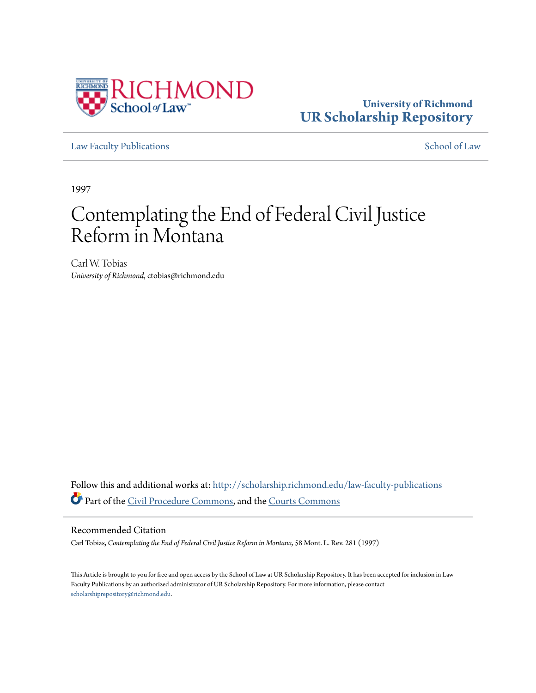

## **University of Richmond [UR Scholarship Repository](http://scholarship.richmond.edu?utm_source=scholarship.richmond.edu%2Flaw-faculty-publications%2F819&utm_medium=PDF&utm_campaign=PDFCoverPages)**

[Law Faculty Publications](http://scholarship.richmond.edu/law-faculty-publications?utm_source=scholarship.richmond.edu%2Flaw-faculty-publications%2F819&utm_medium=PDF&utm_campaign=PDFCoverPages) [School of Law](http://scholarship.richmond.edu/law?utm_source=scholarship.richmond.edu%2Flaw-faculty-publications%2F819&utm_medium=PDF&utm_campaign=PDFCoverPages)

1997

# Contemplating the End of Federal Civil Justice Reform in Montana

Carl W. Tobias *University of Richmond*, ctobias@richmond.edu

Follow this and additional works at: [http://scholarship.richmond.edu/law-faculty-publications](http://scholarship.richmond.edu/law-faculty-publications?utm_source=scholarship.richmond.edu%2Flaw-faculty-publications%2F819&utm_medium=PDF&utm_campaign=PDFCoverPages) Part of the [Civil Procedure Commons](http://network.bepress.com/hgg/discipline/584?utm_source=scholarship.richmond.edu%2Flaw-faculty-publications%2F819&utm_medium=PDF&utm_campaign=PDFCoverPages), and the [Courts Commons](http://network.bepress.com/hgg/discipline/839?utm_source=scholarship.richmond.edu%2Flaw-faculty-publications%2F819&utm_medium=PDF&utm_campaign=PDFCoverPages)

#### Recommended Citation

Carl Tobias, *Contemplating the End of Federal Civil Justice Reform in Montana,* 58 Mont. L. Rev. 281 (1997)

This Article is brought to you for free and open access by the School of Law at UR Scholarship Repository. It has been accepted for inclusion in Law Faculty Publications by an authorized administrator of UR Scholarship Repository. For more information, please contact [scholarshiprepository@richmond.edu.](mailto:scholarshiprepository@richmond.edu)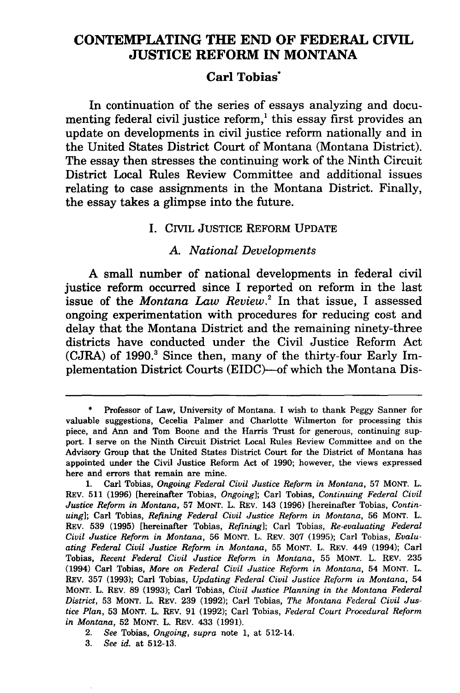### **CONTEMPLATING THE END OF FEDERAL CIVIL JUSTICE REFORM IN MONTANA**

#### **Carl Tobias·**

In continuation of the series of essays analyzing and documenting federal civil justice  $reform<sup>1</sup>$ , this essay first provides an update on developments in civil justice reform nationally and in the United States District Court of Montana (Montana District). The essay then stresses the continuing work of the Ninth Circuit District Local Rules Review Committee and additional issues relating to case assignments in the Montana District. Finally, the essay takes a glimpse into the future.

#### I. CIVIL JUSTICE REFORM UPDATE

#### A. *National Developments*

A small number of national developments in federal civil justice reform occurred since I reported on reform in the last issue of the *Montana Law Review.2* In that issue, I assessed ongoing experimentation with procedures for reducing cost and delay that the Montana District and the remaining ninety-three districts have conducted under the Civil Justice Reform Act (CJRA) of 1990.<sup>3</sup> Since then, many of the thirty-four Early Implementation District Courts (EIDC)-of which the Montana Dis-

3. *See id.* at 512-13.

Professor of Law, University of Montana. I wish to thank Peggy Sanner for valuable suggestions, Cecelia Palmer and Charlotte Wilmerton for processing this piece, and Ann and Tom Boone and the Harris Trust for generous, continuing support. I serve on the Ninth Circuit District Local Rules Review Committee and on the Advisory Group that the United States District Court for the District of Montana has appointed under the Civil Justice Reform Act of 1990; however, the views expressed here and errors that remain are mine.

<sup>1.</sup> Carl Tobias, *Ongoing Federal Civil Justice Reform in Montana,* 57 MONT. L. REV. 511 (1996) [hereinafter Tobias, *Ongoing];* Carl Tobias, *Continuing Federal Civil Justice Reform in Montana,* 57 MONT. L. REV. 143 (1996) [hereinafter Tobias, *Continuing];* Carl Tobias, *Refining Federal Civil Justice Reform in Montana,* 56 MONT. L. REV. 539 (1995) [hereinafter Tobias, *Refining];* Carl Tobias, *Re-evaluating Federal Civil Justice Reform in Montana,* 56 MONT. L. REV. 307 (1995); Carl Tobias, *Evaluating Federal Civil Justice Reform in Montana,* 55 MONT. L. REV. 449 (1994); Carl Tobias, *Recent Federal Civil Justice Reform in Montana,* 55 MONT. L. REV. 235 (1994) Carl Tobias, *More on Federal Civil Justice Reform in Montana,* 54 MONT. L. REV. 357 (1993); Carl Tobias, *Updating Federal Civil Justice Reform in Montana,* 54 MONT. L. REV. 89 (1993); Carl Tobias, *Civil Justice Planning in the Montana Federal District,* 53 MONT. L. REV. 239 (1992); Carl Tobias, *The Montana Federal Civil Justice Plan,* 53 MONT. L. REV. 91 (1992); Carl Tobias, *Federal Court Procedural Reform in Montana,* 52 MONT. L. REV. 433 (1991).

<sup>2.</sup> See Tobias, *Ongoing, supra* note 1, at 512-14.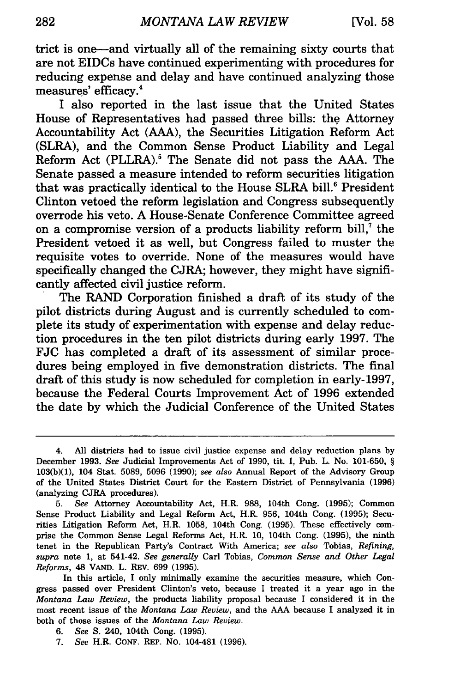trict is one-and virtually all of the remaining sixty courts that are not EIDCs have continued experimenting with procedures for reducing expense and delay and have continued analyzing those measures' efficacy.<sup>4</sup>

I also reported in the last issue that the United States House of Representatives had passed three bills: the Attorney Accountability Act (AAA), the Securities Litigation Reform Act (SLRA), and the Common Sense Product Liability and Legal Reform Act (PLLRA).<sup>5</sup> The Senate did not pass the AAA. The Senate passed a measure intended to reform securities litigation that was practically identical to the House SLRA bill.<sup>6</sup> President Clinton vetoed the reform legislation and Congress subsequently overrode his veto. A House-Senate Conference Committee agreed on a compromise version of a products liability reform bill, $^7$  the President vetoed it as well, but Congress failed to muster the requisite votes to override. None of the measures would have specifically changed the CJRA; however, they might have significantly affected civil justice reform.

The RAND Corporation finished a draft of its study of the pilot districts during August and is currently scheduled to complete its study of experimentation with expense and delay reduction procedures in the ten pilot districts during early 1997. The FJC has completed a draft of its assessment of similar procedures being employed in five demonstration districts. The final draft of this study is now scheduled for completion in early-1997, because the Federal Courts Improvement Act of 1996 extended the date by which the Judicial Conference of the United States

In this article, I only minimally examine the securities measure, which Congress passed over President Clinton's veto, because I treated it a year ago in the *Montana Law Review,* the products liability proposal because I considered it in the most recent issue of the *Montana Law Review,* and the AAA because I analyzed it in both of those issues of the *Montana Law Review.* 

<sup>4.</sup> All districts had to issue civil justice expense and delay reduction plans by December 1993. *See* Judicial Improvements Act of 1990, tit. I, Pub. L. No. 101-650, § 103(b)(l), 104 Stat. 5089, 5096 (1990); *see also* Annual Report of the Advisory Group of the United States District Court for the Eastern District of Pennsylvania (1996) (analyzing CJRA procedures).

<sup>5.</sup> *See* Attorney Accountability Act, H.R. 988, 104th Cong. (1995); Common Sense Product Liability and Legal Reform Act, H.R. 956, 104th Cong. (1995); Securities Litigation Reform Act, H.R. 1058, 104th Cong. (1995). These effectively comprise the Common Sense Legal Reforms Act, H.R. 10, 104th Cong. (1995), the ninth tenet in the Republican Party's Contract With America; *see also* Tobias, *Refining, supra* note 1, at 541-42. *See generally* Carl Tobias, *Common Sense and Other Legal Reforms,* 48 VAND. L. REV. 699 (1995).

<sup>6.</sup> *See* S. 240, 104th Cong. (1995).

<sup>7.</sup> *See* H.R. CONF. REP. No. 104-481 (1996).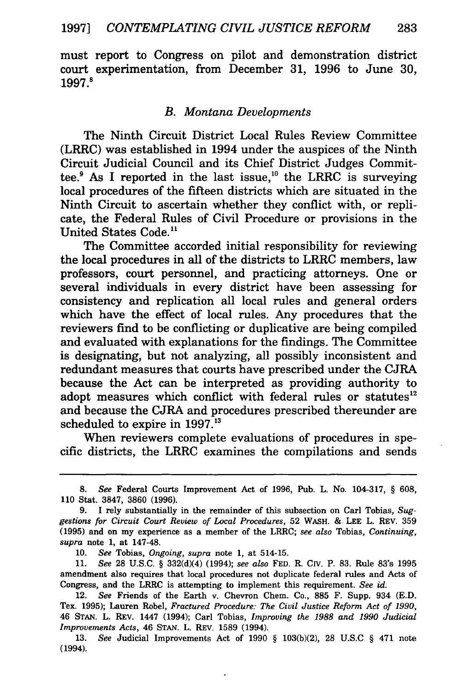must report to Congress on pilot and demonstration district court experimentation, from December 31, 1996 to June 30, 1997.8

#### *B. Montana Developments*

The Ninth Circuit District Local Rules Review Committee (LRRC) was established in 1994 under the auspices of the Ninth Circuit Judicial Council and its Chief District Judges Committee. $9$  As I reported in the last issue,<sup>10</sup> the LRRC is surveying local procedures of the fifteen districts which are situated in the Ninth Circuit to ascertain whether they conflict with, or replicate, the Federal Rules of Civil Procedure or provisions in the United States Code.<sup>11</sup>

The Committee accorded initial responsibility for reviewing the local procedures in all of the districts to LRRC members, law professors, court personnel, and practicing attorneys. One or several individuals in every district have been assessing for consistency and replication all local rules and general orders which have the effect of local rules. Any procedures that the reviewers find to be conflicting or duplicative are being compiled and evaluated with explanations for the findings. The Committee is designating, but not analyzing, all possibly inconsistent and redundant measures that courts have prescribed under the CJRA because the Act can be interpreted as providing authority to adopt measures which conflict with federal rules or statutes<sup>12</sup> and because the CJRA and procedures prescribed thereunder are scheduled to expire in 1997.<sup>13</sup>

When reviewers complete evaluations of procedures in specific districts, the LRRC examines the compilations and sends

13. *See* Judicial Improvements Act of 1990 § 103(b)(2), 28 U.S.C § 471 note (1994).

<sup>8.</sup> *See* Federal Courts Improvement Act of 1996, Pub. L. No. 104-317, § 608, 110 Stat. 3847, 3860 (1996).

<sup>9.</sup> I rely substantially in the remainder of this subsection on Carl Tobias, *Suggestions for Circuit Court Review of Local Procedures,* 52 WASH. & LEE L. REV. 359 (1995) and on my experience as a member of the LRRC; *see also* Tobias, *Continuing, supra* note 1, at 147-48.

<sup>10.</sup> *See* Tobias, *Ongoing, supra* note 1, at 514-15.

<sup>11.</sup> *See* 28 U.S.C. § 332(d)(4) (1994); *see also* FED. R. CIV. P. 83. Rule 83's 1995 amendment also requires that local procedures not duplicate federal rules and Acts of Congress, and the LRRC is attempting to implement this requirement. *See* id.

<sup>12.</sup> *See* Friends of the Earth v. Chevron Chem. Co., 885 F. Supp. 934 (E.D. Tex. 1995); Lauren Robel, *Fractured Procedure: The Civil Justice Reform Act of 1990,*  46 STAN. L. REV. 1447 (1994); Carl Tobias, *Improving the 1988 and 1990 Judicial Improvements Acts,* 46 STAN. L. REV. 1589 (1994).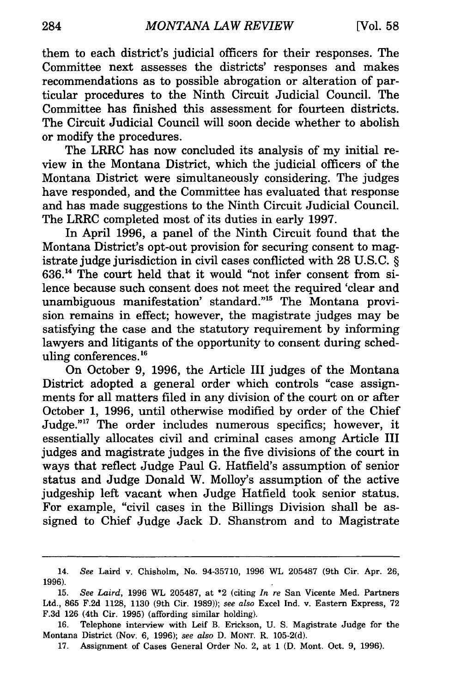them to each district's judicial officers for their responses. The Committee next assesses the districts' responses and makes recommendations as to possible abrogation or alteration of particular procedures to the Ninth Circuit Judicial Council. The Committee has finished this assessment for fourteen districts. The Circuit Judicial Council will soon decide whether to abolish or modify the procedures.

The LRRC has now concluded its analysis of my initial review in the Montana District, which the judicial officers of the Montana District were simultaneously considering. The judges have responded, and the Committee has evaluated that response and has made suggestions to the Ninth Circuit Judicial Council. The LRRC completed most of its duties in early 1997.

In April 1996, a panel of the Ninth Circuit found that the Montana District's opt-out provision for securing consent to magistrate judge jurisdiction in civil cases conflicted with 28 U.S.C. § 636. 14 The court held that it would "not infer consent from silence because such consent does not meet the required 'clear and unambiguous manifestation' standard."15 The Montana provision remains in effect; however, the magistrate judges may be satisfying the case and the statutory requirement by informing lawyers and litigants of the opportunity to consent during scheduling conferences. 16

On October 9, 1996, the Article III judges of the Montana District adopted a general order which controls "case assignments for all matters filed in any division of the court on or after October 1, 1996, until otherwise modified by order of the Chief Judge."17 The order includes numerous specifics; however, it essentially allocates civil and criminal cases among Article III judges and magistrate judges in the five divisions of the court in ways that reflect Judge Paul G. Hatfield's assumption of senior status and Judge Donald W. Molloy's assumption of the active judgeship left vacant when Judge Hatfield took senior status. For example, "civil cases in the Billings Division shall be assigned to Chief Judge Jack D. Shanstrom and to Magistrate

<sup>14.</sup> *See* Laird v. Chisholm, No. 94-35710, 1996 WL 205487 (9th Cir. Apr. 26, 1996).

<sup>15.</sup> *See Laird,* 1996 WL 205487, at \*2 (citing *In re* San Vicente Med. Partners Ltd., 865 F.2d 1128, 1130 (9th Cir. 1989)); *see also* Excel Ind. v. Eastern Express, 72 F.3d 126 (4th Cir. 1995) (affording similar holding).

<sup>16.</sup> Telephone interview with Leif B. Erickson, U. S. Magistrate Judge for the Montana District (Nov. 6, 1996); *see also* D. MONT. R. 105-2(d).

<sup>17.</sup> Assignment of Cases General Order No. 2, at 1 (D. Mont. Oct. 9, 1996).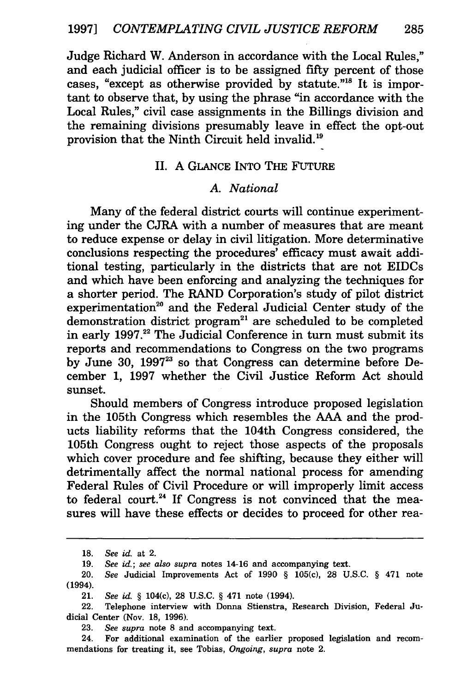Judge Richard W. Anderson in accordance with the Local Rules," and each judicial officer is to be assigned fifty percent of those cases, "except as otherwise provided by statute."18 It is important to observe that, by using the phrase "in accordance with the Local Rules," civil case assignments in the Billings division and the remaining divisions presumably leave in effect the opt-out provision that the Ninth Circuit held invalid.<sup>19</sup>

#### II. A GLANCE INTO THE FUTuRE

#### A. *National*

Many of the federal district courts will continue experimenting under the CJRA with a number of measures that are meant to reduce expense or delay in civil litigation. More determinative conclusions respecting the procedures' efficacy must await additional testing, particularly in the districts that are not EIDCs and which have been enforcing and analyzing the techniques for a shorter period. The RAND Corporation's study of pilot district experimentation<sup>20</sup> and the Federal Judicial Center study of the demonstration district program $21$  are scheduled to be completed in early 1997.<sup>22</sup> The Judicial Conference in turn must submit its reports and recommendations to Congress on the two programs by June 30, 1997<sup>23</sup> so that Congress can determine before December 1, 1997 whether the Civil Justice Reform Act should sunset.

Should members of Congress introduce proposed legislation in the 105th Congress which resembles the AAA and the products liability reforms that the 104th Congress considered, the 105th Congress ought to reject those aspects of the proposals which cover procedure and fee shifting, because they either will detrimentally affect the normal national process for amending Federal Rules of Civil Procedure or will improperly limit access to federal court.<sup>24</sup> If Congress is not convinced that the measures will have these effects or decides to proceed for other rea-

23. *See supra* note 8 and accompanying text.

24. For additional examination of the earlier proposed legislation and recommendations for treating it, see Tobias, *Ongoing, supra* note 2.

<sup>18.</sup> *See* id. at 2.

<sup>19.</sup> *See* id.; *see also supra* notes 14-16 and accompanying text.

<sup>20.</sup> *See* Judicial Improvements Act of 1990 § 105(c), 28 U.S.C. § 471 note (1994).

<sup>21.</sup> *See* id. § 104(c), 28 U.S.C. § 471 note (1994).

<sup>22.</sup> Telephone interview with Donna Stienstra, Research Division, Federal Judicial Center (Nov. 18, 1996).